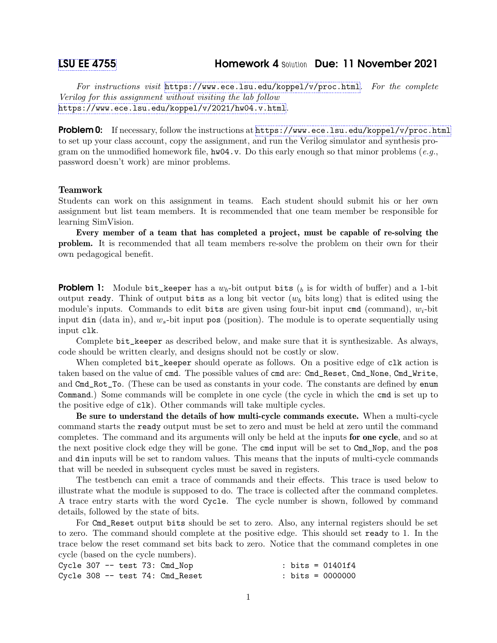## [LSU EE 4755](https://www.ece.lsu.edu/koppel/v/) Homework 4 Solution Due: 11 November 2021

For instructions visit <https://www.ece.lsu.edu/koppel/v/proc.html>. For the complete Verilog for this assignment without visiting the lab follow <https://www.ece.lsu.edu/koppel/v/2021/hw04.v.html>.

**Problem 0:** If necessary, follow the instructions at <https://www.ece.lsu.edu/koppel/v/proc.html> to set up your class account, copy the assignment, and run the Verilog simulator and synthesis program on the unmodified homework file,  $hw04.v.$  Do this early enough so that minor problems (e.g., password doesn't work) are minor problems.

## Teamwork

Students can work on this assignment in teams. Each student should submit his or her own assignment but list team members. It is recommended that one team member be responsible for learning SimVision.

Every member of a team that has completed a project, must be capable of re-solving the problem. It is recommended that all team members re-solve the problem on their own for their own pedagogical benefit.

**Problem 1:** Module bit\_keeper has a  $w_b$ -bit output bits  $\binom{b}{b}$  is for width of buffer) and a 1-bit output ready. Think of output bits as a long bit vector  $(w_b)$  bits long) that is edited using the module's inputs. Commands to edit bits are given using four-bit input cmd (command),  $w_i$ -bit input din (data in), and  $w_s$ -bit input pos (position). The module is to operate sequentially using input clk.

Complete bit\_keeper as described below, and make sure that it is synthesizable. As always, code should be written clearly, and designs should not be costly or slow.

When completed bit\_keeper should operate as follows. On a positive edge of clk action is taken based on the value of cmd. The possible values of cmd are: Cmd\_Reset, Cmd\_None, Cmd\_Write, and Cmd\_Rot\_To. (These can be used as constants in your code. The constants are defined by enum Command.) Some commands will be complete in one cycle (the cycle in which the cmd is set up to the positive edge of clk). Other commands will take multiple cycles.

Be sure to understand the details of how multi-cycle commands execute. When a multi-cycle command starts the ready output must be set to zero and must be held at zero until the command completes. The command and its arguments will only be held at the inputs for one cycle, and so at the next positive clock edge they will be gone. The cmd input will be set to Cmd\_Nop, and the pos and din inputs will be set to random values. This means that the inputs of multi-cycle commands that will be needed in subsequent cycles must be saved in registers.

The testbench can emit a trace of commands and their effects. This trace is used below to illustrate what the module is supposed to do. The trace is collected after the command completes. A trace entry starts with the word Cycle. The cycle number is shown, followed by command details, followed by the state of bits.

For Cmd\_Reset output bits should be set to zero. Also, any internal registers should be set to zero. The command should complete at the positive edge. This should set ready to 1. In the trace below the reset command set bits back to zero. Notice that the command completes in one cycle (based on the cycle numbers).

|  |  | Cycle $307$ -- test $73:$ Cmd_Nop | : bits = 01401f4   |
|--|--|-----------------------------------|--------------------|
|  |  | Cycle 308 -- test 74: Cmd_Reset   | : bits = $0000000$ |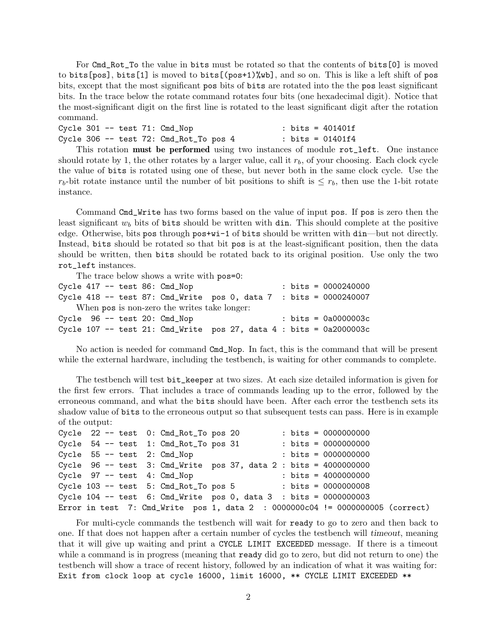For Cmd\_Rot\_To the value in bits must be rotated so that the contents of bits[0] is moved to bits[pos], bits[1] is moved to bits[(pos+1)%wb], and so on. This is like a left shift of pos bits, except that the most significant pos bits of bits are rotated into the the pos least significant bits. In the trace below the rotate command rotates four bits (one hexadecimal digit). Notice that the most-significant digit on the first line is rotated to the least significant digit after the rotation command.

|  |  | Cycle $301$ -- test $71:$ Cmd_Nop                                                                                                                     |  | : bits = 401401f |  |  |
|--|--|-------------------------------------------------------------------------------------------------------------------------------------------------------|--|------------------|--|--|
|  |  | Cycle 306 -- test 72: Cmd_Rot_To pos 4                                                                                                                |  | : bits = 01401f4 |  |  |
|  |  | $\mathbb{R}^n$ . The contract of $\mathbb{R}^n$ is the contract of $\mathbb{R}^n$ in the contract of $\mathbb{R}^n$ is the contract of $\mathbb{R}^n$ |  |                  |  |  |

This rotation **must be performed** using two instances of module rot\_left. One instance should rotate by 1, the other rotates by a larger value, call it  $r<sub>b</sub>$ , of your choosing. Each clock cycle the value of bits is rotated using one of these, but never both in the same clock cycle. Use the  $r_b$ -bit rotate instance until the number of bit positions to shift is  $\leq r_b$ , then use the 1-bit rotate instance.

Command Cmd\_Write has two forms based on the value of input pos. If pos is zero then the least significant  $w_b$  bits of bits should be written with din. This should complete at the positive edge. Otherwise, bits pos through pos+wi-1 of bits should be written with din—but not directly. Instead, bits should be rotated so that bit pos is at the least-significant position, then the data should be written, then bits should be rotated back to its original position. Use only the two rot\_left instances.

The trace below shows a write with pos=0:

|  |  | Cycle $417$ -- test 86: Cmd_Nop              |  |  | : bits = $0000240000$                                                |
|--|--|----------------------------------------------|--|--|----------------------------------------------------------------------|
|  |  |                                              |  |  | Cycle 418 -- test 87: Cmd_Write pos 0, data 7 : bits = $0000240007$  |
|  |  | When pos is non-zero the writes take longer: |  |  |                                                                      |
|  |  | Cycle 96 -- test 20: Cmd_Nop                 |  |  | : bits = $0a0000003c$                                                |
|  |  |                                              |  |  | Cycle 107 -- test 21: Cmd_Write pos 27, data 4 : bits = $0a2000003c$ |

No action is needed for command Cmd\_Nop. In fact, this is the command that will be present while the external hardware, including the testbench, is waiting for other commands to complete.

The testbench will test bit\_keeper at two sizes. At each size detailed information is given for the first few errors. That includes a trace of commands leading up to the error, followed by the erroneous command, and what the bits should have been. After each error the testbench sets its shadow value of bits to the erroneous output so that subsequent tests can pass. Here is in example of the output:

```
Cycle 22 -- test 0: Cmd_Rot_To pos 20 : bits = 0000000000
Cycle 54 -- test 1: Cmd_Rot_To pos 31 : bits = 0000000000Cycle 55 -- test 2: Cmd_Nop : bits = 0000000000
Cycle 96 -- test 3: Cmd_Write pos 37, data 2 : bits = 4000000000
Cycle 97 -- test 4: Cmd_Nop : bits = 4000000000
Cycle 103 -- test 5: Cmd_Rot_To pos 5 : bits = 0000000008
Cycle 104 -- test 6: Cmd_Write pos 0, data 3 : bits = 0000000003
Error in test 7: Cmd_Write pos 1, data 2 : 0000000c04 != 0000000005 (correct)
```
For multi-cycle commands the testbench will wait for ready to go to zero and then back to one. If that does not happen after a certain number of cycles the testbench will timeout, meaning that it will give up waiting and print a CYCLE LIMIT EXCEEDED message. If there is a timeout while a command is in progress (meaning that **ready** did go to zero, but did not return to one) the testbench will show a trace of recent history, followed by an indication of what it was waiting for: Exit from clock loop at cycle 16000, limit 16000, \*\* CYCLE LIMIT EXCEEDED \*\*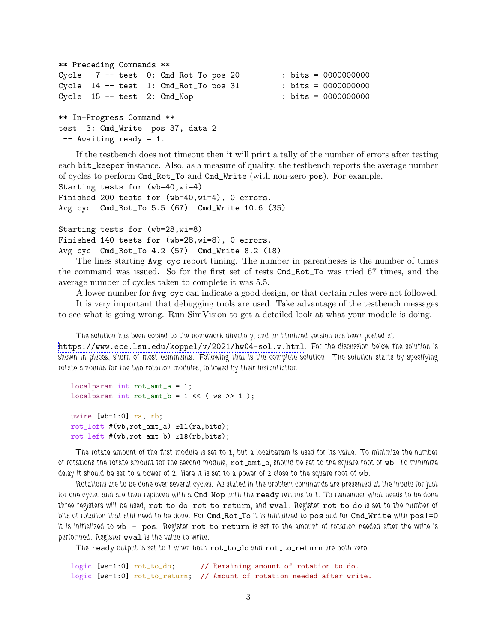```
** Preceding Commands **
Cycle 7 -- test 0: Cmd_Rot_To pos 20 : bits = 00000000000
Cycle 14 -- test 1: Cmd_Rbct_T pos 31 : bits = 0000000000
Cycle 15 -- test 2: Cmd_Nop : bits = 0000000000
** In-Progress Command **
test 3: Cmd_Write pos 37, data 2
-- Awaiting ready = 1.
```
If the testbench does not timeout then it will print a tally of the number of errors after testing each bit\_keeper instance. Also, as a measure of quality, the testbench reports the average number of cycles to perform Cmd\_Rot\_To and Cmd\_Write (with non-zero pos). For example, Starting tests for (wb=40,wi=4)

```
Finished 200 tests for (wb=40,wi=4), 0 errors.
Avg cyc Cmd_Rot_To 5.5 (67) Cmd_Write 10.6 (35)
```

```
Starting tests for (wb=28,wi=8)
Finished 140 tests for (wb=28,wi=8), 0 errors.
Avg cyc Cmd_Rot_To 4.2 (57) Cmd_Write 8.2 (18)
```
The lines starting Avg cyc report timing. The number in parentheses is the number of times the command was issued. So for the first set of tests Cmd\_Rot\_To was tried 67 times, and the average number of cycles taken to complete it was 5.5.

A lower number for Avg cyc can indicate a good design, or that certain rules were not followed.

It is very important that debugging tools are used. Take advantage of the testbench messages to see what is going wrong. Run SimVision to get a detailed look at what your module is doing.

The solution has been copied to the homework directory, and an htmlized version has been posted at

<https://www.ece.lsu.edu/koppel/v/2021/hw04-sol.v.html>. For the discussion below the solution is shown in pieces, shorn of most comments. Following that is the complete solution. The solution starts by specifying rotate amounts for the two rotation modules, followed by their instantiation.

```
localparam int rot_amt_a = 1;
localparam int rot\_amt_b = 1 \ll (ws \gg 1);
uwire [wb-1:0] ra, rb;
rot_left #(wb,rot_amt_a) rl1(ra,bits);
```
rot\_left #(wb,rot\_amt\_b) **rl8**(rb,bits);

The rotate amount of the first module is set to 1, but a localparam is used for its value. To minimize the number of rotations the rotate amount for the second module,  $rot\_amt\_b$ , should be set to the square root of wb. To minimize delay it should be set to a power of 2. Here it is set to a power of 2 close to the square root of wb.

Rotations are to be done over several cycles. As stated in the problem commands are presented at the inputs for just for one cycle, and are then replaced with a Cmd\_Nop until the ready returns to 1. To remember what needs to be done three registers will be used, rot\_to\_do, rot\_to\_return, and wval. Register rot\_to\_do is set to the number of bits of rotation that still need to be done. For Cmd\_Rot\_To it is initialized to pos and for Cmd\_Write with pos!=0 it is initialized to wb - pos. Register rot\_to\_return is set to the amount of rotation needed after the write is performed. Register wval is the value to write.

The ready output is set to 1 when both rot\_to\_do and rot\_to\_return are both zero.

logic [ws-1:0] rot\_to\_do; // Remaining amount of rotation to do. logic [ws-1:0] rot\_to\_return; // Amount of rotation needed after write.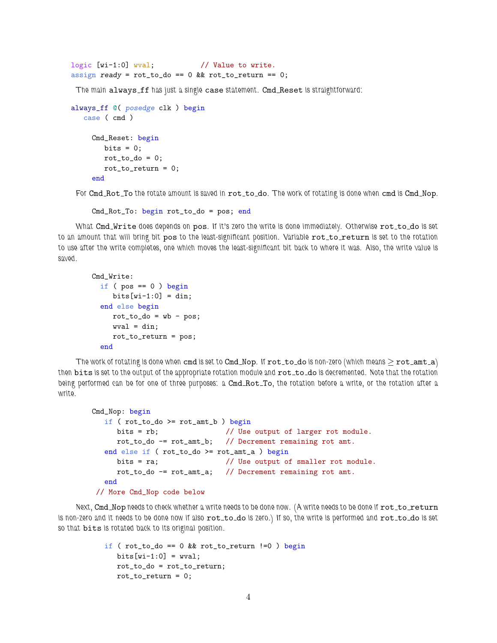```
logic [wi-1:0] wval; // Value to write.
assign ready = rot_to_do == 0 && rot_to_return == 0;
```
The main always ff has just a single case statement. Cmd Reset is straightforward:

```
always_ff @( posedge clk ) begin
  case ( cmd )
    Cmd_Reset: begin
       bits = 0;rot_to_do = 0;
       rot_to_return = 0;
    end
```
For Cmd Rot To the rotate amount is saved in rot to do. The work of rotating is done when cmd is Cmd Nop.

```
Cmd_Rot_To: begin rot_to_do = pos; end
```
What Cmd\_Write does depends on pos. If it's zero the write is done immediately. Otherwise rot\_to\_do is set to an amount that will bring bit pos to the least-significant position. Variable rot\_to\_return is set to the rotation to use after the write completes, one which moves the least-significant bit back to where it was. Also, the write value is saved.

```
Cmd_Write:
  if (pos == 0) begin{bmatrix} \\ \\ \\ \end{bmatrix}bits[wi-1:0] = din;end else begin
     rot_to_do = wb - pos;wval = din;rot_to_return = pos;
  end
```
The work of rotating is done when cmd is set to Cmd\_Nop. If  $rot\_to\_do$  is non-zero (which means  $\geq rot\_amt\_a$ ) then bits is set to the output of the appropriate rotation module and  $rot\_to\_do$  is decremented. Note that the rotation being performed can be for one of three purposes: a Cmd\_Rot\_To, the rotation before a write, or the rotation after a write.

```
Cmd_Nop: begin
   if (rot_to_do \ge rot_amt_b) begin
     bits = rb; \frac{1}{2} // Use output of larger rot module.
     rot_to_do -= rot_amt_b; // Decrement remaining rot amt.
   end else if ( rot_to_do >= rot_amt_a ) begin
     bits = ra; \frac{1}{10} Use output of smaller rot module.
     rot_to_do -= rot_amt_a; // Decrement remaining rot amt.
   end
 // More Cmd_Nop code below
```
Next, Cmd\_Nop needs to check whether a write needs to be done now. (A write needs to be done if rot\_to\_return is non-zero and it needs to be done now if also rot\_to\_do is zero.) If so, the write is performed and rot\_to\_do is set so that bits is rotated back to its original position.

```
if ( rot_to_do == 0 && rot_to_return !=0 ) begin
  bits[wi-1:0] = wval;rot_to_do = rot_to_return;
  rot_to_return = 0;
```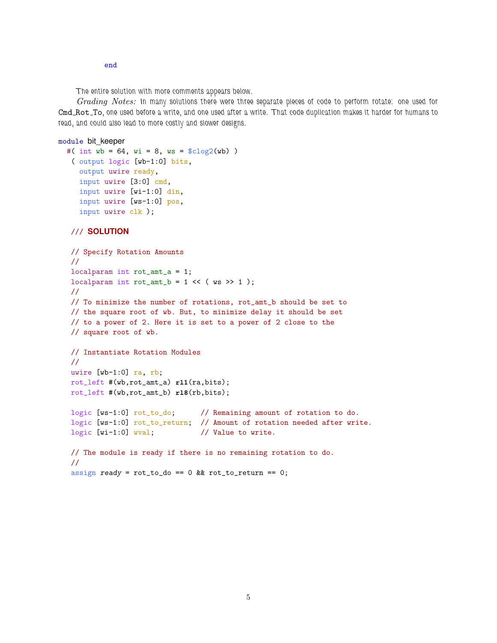end

The entire solution with more comments appears below.

Grading Notes: In many solutions there were three separate pieces of code to perform rotate: one used for Cmd Rot To, one used before a write, and one used after a write. That code duplication makes it harder for humans to read, and could also lead to more costly and slower designs.

```
module bit_keeper
```

```
#( int wb = 64, wi = 8, ws = \frac{\text{c}}{\text{c}}\log(2(\text{wb}))( output logic [wb-1:0] bits,
   output uwire ready,
   input uwire [3:0] cmd,
   input uwire [wi-1:0] din,
   input uwire [ws-1:0] pos,
   input uwire clk );
```

```
/// SOLUTION
```

```
// Specify Rotation Amounts
//
localparam int rot_amt_a = 1;
localparam int rot\_amt_b = 1 \ll (ws \gg 1);
//
// To minimize the number of rotations, rot_amt_b should be set to
// the square root of wb. But, to minimize delay it should be set
// to a power of 2. Here it is set to a power of 2 close to the
// square root of wb.
// Instantiate Rotation Modules
//
uwire [wb-1:0] ra, rb;
rot_left #(wb,rot_amt_a) rl1(ra,bits);
rot_left #(wb,rot_amt_b) rl8(rb,bits);
logic [ws-1:0] rot_to_do; // Remaining amount of rotation to do.
logic [ws-1:0] rot_to_return; // Amount of rotation needed after write.
logic [wi-1:0] wval; // Value to write.
// The module is ready if there is no remaining rotation to do.
//
assign ready = rot_to_do == 0 && rot_to_return == 0;
```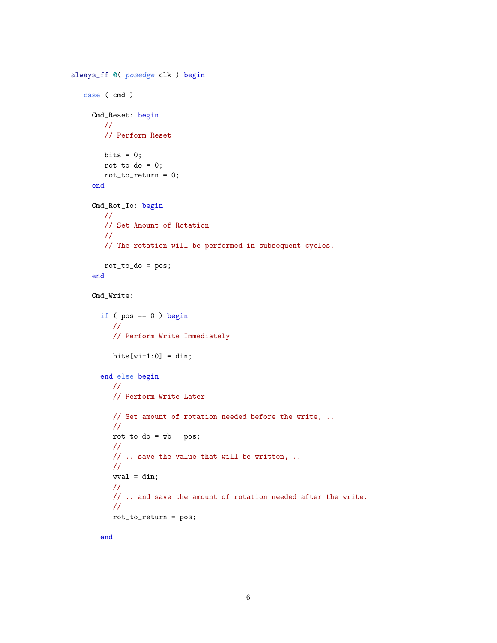```
always_ff @( posedge clk ) begin
  case ( cmd )
    Cmd_Reset: begin
       //
       // Perform Reset
       bits = 0;rot_to_do = 0;rot_to_return = 0;
    end
    Cmd_Rot_To: begin
       //
       // Set Amount of Rotation
       //
       // The rotation will be performed in subsequent cycles.
       rot_to_do = pos;
    end
    Cmd_Write:
      if ( pos == 0 ) begin
         //
         // Perform Write Immediately
         bits[wi-1:0] = din;end else begin
         //
         // Perform Write Later
         // Set amount of rotation needed before the write, ..
         //
         rot_to_do = wb - pos;//
         // .. save the value that will be written, ..
         //
         wval = din;
         //
         // .. and save the amount of rotation needed after the write.
         //
         rot_to_return = pos;
```
end